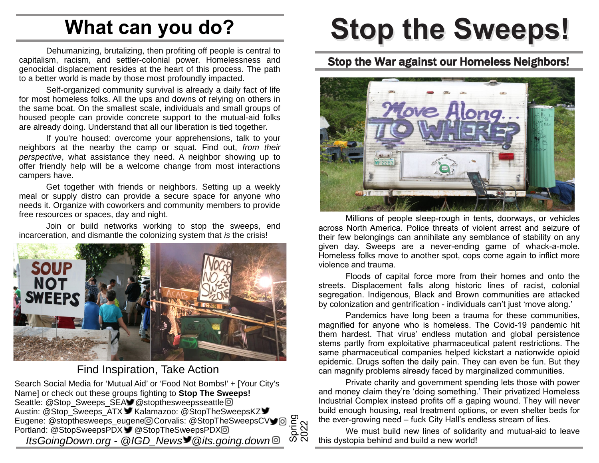## **What can you do?**

Dehumanizing, brutalizing, then profiting off people is central to capitalism, racism, and settler-colonial power. Homelessness and genocidal displacement resides at the heart of this process. The path to a better world is made by those most profoundly impacted.

Self-organized community survival is already a daily fact of life for most homeless folks. All the ups and downs of relying on others in the same boat. On the smallest scale, individuals and small groups of housed people can provide concrete support to the mutual-aid folks are already doing. Understand that all our liberation is tied together.

If you're housed: overcome your apprehensions, talk to your neighbors at the nearby the camp or squat. Find out, *from their perspective*, what assistance they need. A neighbor showing up to offer friendly help will be a welcome change from most interactions campers have.

Get together with friends or neighbors. Setting up a weekly meal or supply distro can provide a secure space for anyone who needs it. Organize with coworkers and community members to provide free resources or spaces, day and night.

Join or build networks working to stop the sweeps, end incarceration, and dismantle the colonizing system that *is* the crisis!



#### Find Inspiration, Take Action

Search Social Media for 'Mutual Aid' or 'Food Not Bombs!' + [Your City's Name] or check out these groups fighting to **Stop The Sweeps!** Seattle: @Stop\_Sweeps\_SEA @stopthesweepsseattle @ Austin: @Stop\_Sweeps\_ATX VKalamazoo: @StopTheSweepsKZ V Eugene: @stopthesweeps\_eugene Corvalis: @StopTheSweepsCV Eugene: @stopthesweeps\_eugene@Corvalis: @StopTheSweepsCV<br>Portland: @StopSweepsPDX ● @StopTheSweepsPDX @ *ItsGoingDown.org - @IGD\_News @its.going.down* © 2022

# **Stop the Sweeps!**

#### Stop the War against our Homeless Neighbors!



Millions of people sleep-rough in tents, doorways, or vehicles across North America. Police threats of violent arrest and seizure of their few belongings can annihilate any semblance of stability on any given day. Sweeps are a never-ending game of whack-a-mole. Homeless folks move to another spot, cops come again to inflict more violence and trauma.

Floods of capital force more from their homes and onto the streets. Displacement falls along historic lines of racist, colonial segregation. Indigenous, Black and Brown communities are attacked by colonization and gentrification - individuals can't just 'move along.'

Pandemics have long been a trauma for these communities, magnified for anyone who is homeless. The Covid-19 pandemic hit them hardest. That virus' endless mutation and global persistence stems partly from exploitative pharmaceutical patent restrictions. The same pharmaceutical companies helped kickstart a nationwide opioid epidemic. Drugs soften the daily pain. They can even be fun. But they can magnify problems already faced by marginalized communities.

Private charity and government spending lets those with power and money claim they're 'doing something.' Their privatized Homeless Industrial Complex instead profits off a gaping wound. They will never build enough housing, real treatment options, or even shelter beds for the ever-growing need – fuck City Hall's endless stream of lies.

We must build new lines of solidarity and mutual-aid to leave this dystopia behind and build a new world!